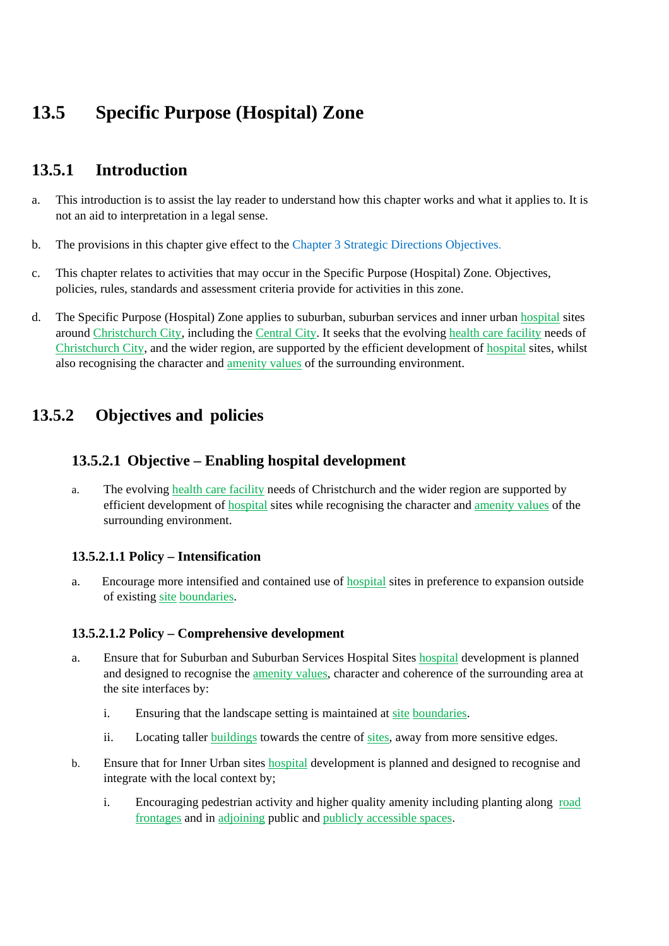# **13.5 Specific Purpose (Hospital) Zone**

## **13.5.1 Introduction**

- a. This introduction is to assist the lay reader to understand how this chapter works and what it applies to. It is not an aid to interpretation in a legal sense.
- b. The provisions in this chapter give effect to the Chapter 3 Strategic Directions Objectives.
- c. This chapter relates to activities that may occur in the Specific Purpose (Hospital) Zone. Objectives, policies, rules, standards and assessment criteria provide for activities in this zone.
- d. The Specific Purpose (Hospital) Zone applies to suburban, suburban services and inner urban hospital sites around Christchurch City, including the Central City. It seeks that the evolving health care facility needs of Christchurch City, and the wider region, are supported by the efficient development of hospital sites, whilst also recognising the character and amenity values of the surrounding environment.

## **13.5.2 Objectives and policies**

#### **13.5.2.1 Objective – Enabling hospital development**

a. The evolving health care facility needs of Christchurch and the wider region are supported by efficient development of hospital sites while recognising the character and amenity values of the surrounding environment.

#### **13.5.2.1.1 Policy – Intensification**

a. Encourage more intensified and contained use of **hospital** sites in preference to expansion outside of existing site boundaries.

#### **13.5.2.1.2 Policy – Comprehensive development**

- a. Ensure that for Suburban and Suburban Services Hospital Sites hospital development is planned and designed to recognise the amenity values, character and coherence of the surrounding area at the site interfaces by:
	- i. Ensuring that the landscape setting is maintained at site boundaries.
	- ii. Locating taller buildings towards the centre of sites, away from more sensitive edges.
- b. Ensure that for Inner Urban sites hospital development is planned and designed to recognise and integrate with the local context by;
	- i. Encouraging pedestrian activity and higher quality amenity including planting along road frontages and in adjoining public and publicly accessible spaces.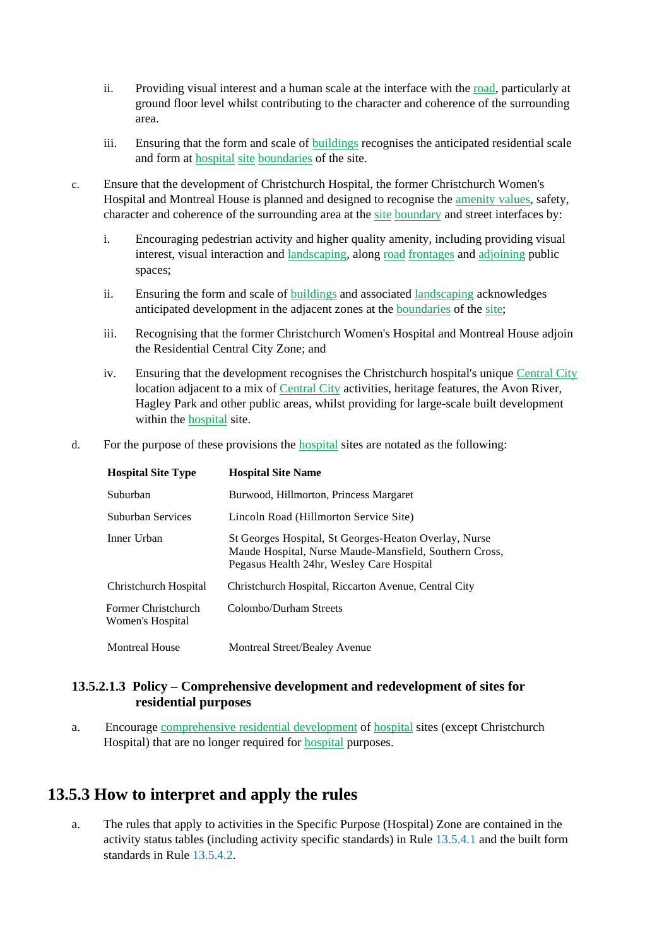- ii. Providing visual interest and a human scale at the interface with the road, particularly at ground floor level whilst contributing to the character and coherence of the surrounding area.
- iii. Ensuring that the form and scale of buildings recognises the anticipated residential scale and form at hospital site boundaries of the site.
- c. Ensure that the development of Christchurch Hospital, the former Christchurch Women's Hospital and Montreal House is planned and designed to recognise the amenity values, safety, character and coherence of the surrounding area at the site boundary and street interfaces by:
	- i. Encouraging pedestrian activity and higher quality amenity, including providing visual interest, visual interaction and landscaping, along road frontages and adjoining public spaces;
	- ii. Ensuring the form and scale of buildings and associated landscaping acknowledges anticipated development in the adjacent zones at the boundaries of the site;
	- iii. Recognising that the former Christchurch Women's Hospital and Montreal House adjoin the Residential Central City Zone; and
	- iv. Ensuring that the development recognises the Christchurch hospital's unique Central City location adjacent to a mix of Central City activities, heritage features, the Avon River, Hagley Park and other public areas, whilst providing for large-scale built development within the hospital site.
- d. For the purpose of these provisions the hospital sites are notated as the following:

| <b>Hospital Site Type</b>               | <b>Hospital Site Name</b>                                                                                                                                    |
|-----------------------------------------|--------------------------------------------------------------------------------------------------------------------------------------------------------------|
| Suburban                                | Burwood, Hillmorton, Princess Margaret                                                                                                                       |
| Suburban Services                       | Lincoln Road (Hillmorton Service Site)                                                                                                                       |
| Inner Urban                             | St Georges Hospital, St Georges-Heaton Overlay, Nurse<br>Maude Hospital, Nurse Maude-Mansfield, Southern Cross,<br>Pegasus Health 24hr, Wesley Care Hospital |
| Christchurch Hospital                   | Christchurch Hospital, Riccarton Avenue, Central City                                                                                                        |
| Former Christchurch<br>Women's Hospital | Colombo/Durham Streets                                                                                                                                       |
| <b>Montreal House</b>                   | Montreal Street/Bealey Avenue                                                                                                                                |

#### **13.5.2.1.3 Policy – Comprehensive development and redevelopment of sites for residential purposes**

a. Encourage comprehensive residential development of hospital sites (except Christchurch Hospital) that are no longer required for hospital purposes.

## **13.5.3 How to interpret and apply the rules**

a. The rules that apply to activities in the Specific Purpose (Hospital) Zone are contained in the activity status tables (including activity specific standards) in Rule 13.5.4.1 and the built form standards in Rule 13.5.4.2.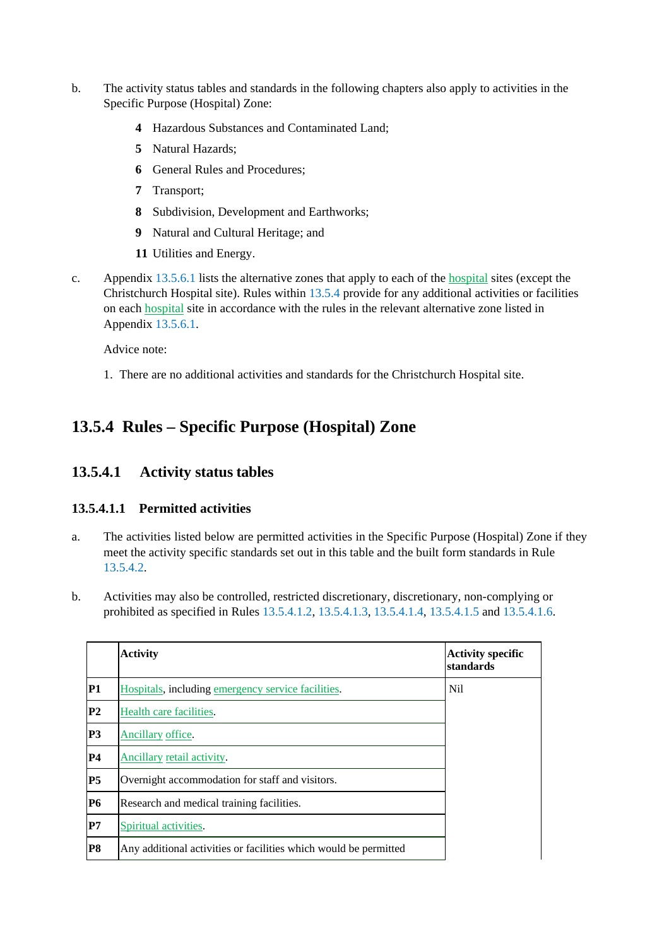- b. The activity status tables and standards in the following chapters also apply to activities in the Specific Purpose (Hospital) Zone:
	- **4** Hazardous Substances and Contaminated Land;
	- **5** Natural Hazards;
	- **6** General Rules and Procedures;
	- **7** Transport;
	- **8** Subdivision, Development and Earthworks;
	- **9** Natural and Cultural Heritage; and
	- **11** Utilities and Energy.
- c. Appendix 13.5.6.1 lists the alternative zones that apply to each of the hospital sites (except the Christchurch Hospital site). Rules within 13.5.4 provide for any additional activities or facilities on each hospital site in accordance with the rules in the relevant alternative zone listed in Appendix 13.5.6.1.

Advice note:

1. There are no additional activities and standards for the Christchurch Hospital site.

## **13.5.4 Rules – Specific Purpose (Hospital) Zone**

#### **13.5.4.1 Activity status tables**

#### **13.5.4.1.1 Permitted activities**

- a. The activities listed below are permitted activities in the Specific Purpose (Hospital) Zone if they meet the activity specific standards set out in this table and the built form standards in Rule 13.5.4.2.
- b. Activities may also be controlled, restricted discretionary, discretionary, non-complying or prohibited as specified in Rules 13.5.4.1.2, 13.5.4.1.3, 13.5.4.1.4, 13.5.4.1.5 and 13.5.4.1.6.

|                | <b>Activity</b>                                                  | <b>Activity specific</b><br>standards |
|----------------|------------------------------------------------------------------|---------------------------------------|
| <b>P1</b>      | Hospitals, including emergency service facilities.               | Nil                                   |
| P <sub>2</sub> | Health care facilities.                                          |                                       |
| P <sub>3</sub> | Ancillary office.                                                |                                       |
| <b>P4</b>      | Ancillary retail activity.                                       |                                       |
| P <sub>5</sub> | Overnight accommodation for staff and visitors.                  |                                       |
| <b>P6</b>      | Research and medical training facilities.                        |                                       |
| P7             | Spiritual activities.                                            |                                       |
| <b>P8</b>      | Any additional activities or facilities which would be permitted |                                       |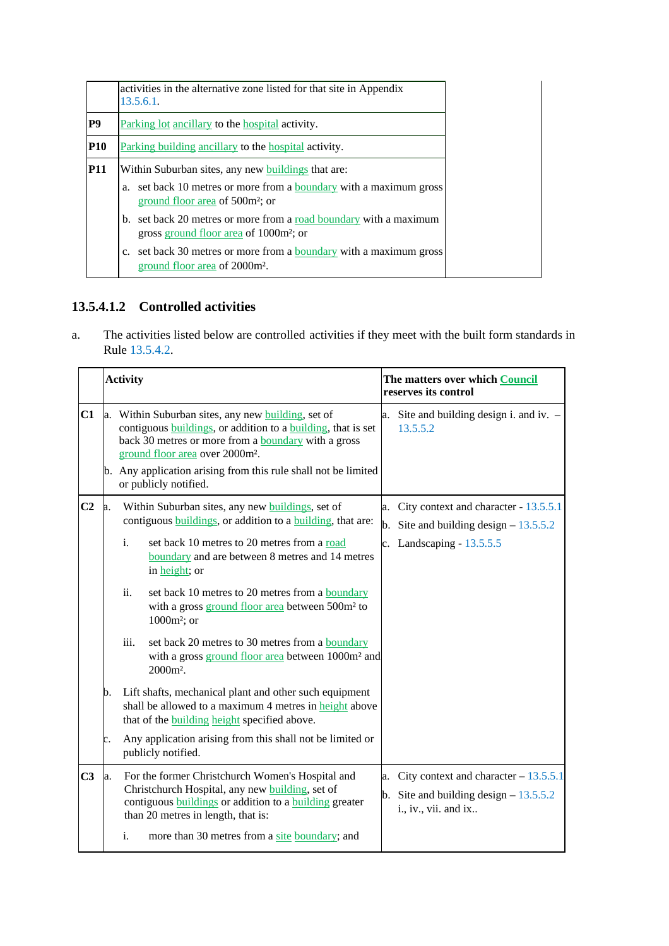|            | activities in the alternative zone listed for that site in Appendix<br>13.5.6.1.                                         |  |  |
|------------|--------------------------------------------------------------------------------------------------------------------------|--|--|
| P9         | Parking lot ancillary to the hospital activity.                                                                          |  |  |
| <b>P10</b> | Parking building ancillary to the hospital activity.                                                                     |  |  |
| <b>P11</b> | Within Suburban sites, any new buildings that are:                                                                       |  |  |
|            | a. set back 10 metres or more from a <b>boundary</b> with a maximum gross<br>ground floor area of 500m <sup>2</sup> ; or |  |  |
|            | b. set back 20 metres or more from a road boundary with a maximum<br>gross ground floor area of 1000m <sup>2</sup> ; or  |  |  |
|            | c. set back 30 metres or more from a boundary with a maximum gross<br>ground floor area of 2000m <sup>2</sup> .          |  |  |

### **13.5.4.1.2 Controlled activities**

a. The activities listed below are controlled activities if they meet with the built form standards in Rule 13.5.4.2.

|                | <b>Activity</b> |                                                                                                                                                                                                                              |                                                                                                                                                                                                                                                   | The matters over which Council<br>reserves its control |                                                                                                                   |
|----------------|-----------------|------------------------------------------------------------------------------------------------------------------------------------------------------------------------------------------------------------------------------|---------------------------------------------------------------------------------------------------------------------------------------------------------------------------------------------------------------------------------------------------|--------------------------------------------------------|-------------------------------------------------------------------------------------------------------------------|
| C1             | a.              | Within Suburban sites, any new building, set of<br>contiguous buildings, or addition to a building, that is set<br>back 30 metres or more from a <b>boundary</b> with a gross<br>ground floor area over 2000m <sup>2</sup> . |                                                                                                                                                                                                                                                   | a.                                                     | Site and building design i. and iv. -<br>13.5.5.2                                                                 |
|                |                 |                                                                                                                                                                                                                              | b. Any application arising from this rule shall not be limited<br>or publicly notified.                                                                                                                                                           |                                                        |                                                                                                                   |
| C <sub>2</sub> |                 | $\mathbf{i}$ .                                                                                                                                                                                                               | Within Suburban sites, any new buildings, set of<br>contiguous <b>buildings</b> , or addition to a <b>building</b> , that are:<br>set back 10 metres to 20 metres from a road<br>boundary and are between 8 metres and 14 metres<br>in height; or |                                                        | a. City context and character - 13.5.5.1<br>b. Site and building design $-13.5.5.2$<br>c. Landscaping $-13.5.5.5$ |
|                |                 | ii.                                                                                                                                                                                                                          | set back 10 metres to 20 metres from a <b>boundary</b><br>with a gross ground floor area between 500m <sup>2</sup> to<br>$1000m^2$ ; or                                                                                                           |                                                        |                                                                                                                   |
|                |                 | iii.                                                                                                                                                                                                                         | set back 20 metres to 30 metres from a <b>boundary</b><br>with a gross ground floor area between 1000m <sup>2</sup> and<br>2000m <sup>2</sup> .                                                                                                   |                                                        |                                                                                                                   |
|                | b.              |                                                                                                                                                                                                                              | Lift shafts, mechanical plant and other such equipment<br>shall be allowed to a maximum 4 metres in height above<br>that of the <b>building</b> height specified above.                                                                           |                                                        |                                                                                                                   |
|                |                 |                                                                                                                                                                                                                              | Any application arising from this shall not be limited or<br>publicly notified.                                                                                                                                                                   |                                                        |                                                                                                                   |
| C <sub>3</sub> | a.              |                                                                                                                                                                                                                              | For the former Christchurch Women's Hospital and<br>Christchurch Hospital, any new building, set of<br>contiguous buildings or addition to a building greater<br>than 20 metres in length, that is:                                               |                                                        | a. City context and character $-13.5.5.1$<br>b. Site and building design $-13.5.5.2$<br>i., iv., vii. and ix      |
|                |                 | i.                                                                                                                                                                                                                           | more than 30 metres from a site boundary; and                                                                                                                                                                                                     |                                                        |                                                                                                                   |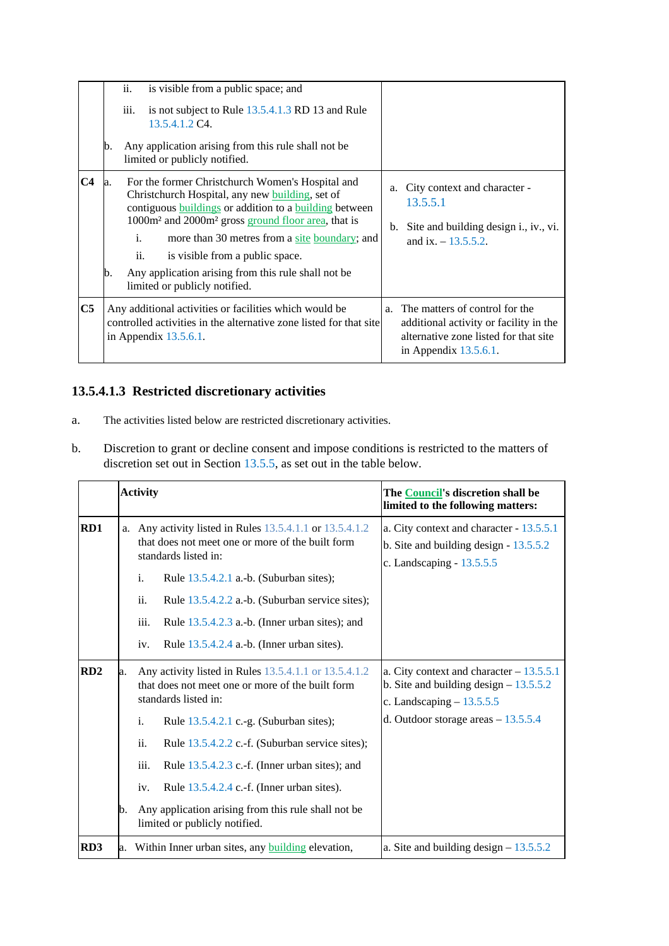|                | b.        | ii.<br>iii. | is visible from a public space; and<br>is not subject to Rule 13.5.4.1.3 RD 13 and Rule<br>13.5.4.1.2 C4.<br>Any application arising from this rule shall not be.<br>limited or publicly notified.                                                                                                                                                                                                                                    |          |                                                                                                                                                  |
|----------------|-----------|-------------|---------------------------------------------------------------------------------------------------------------------------------------------------------------------------------------------------------------------------------------------------------------------------------------------------------------------------------------------------------------------------------------------------------------------------------------|----------|--------------------------------------------------------------------------------------------------------------------------------------------------|
| C <sub>4</sub> | la.<br>b. | i.<br>ii.   | For the former Christchurch Women's Hospital and<br>Christchurch Hospital, any new building, set of<br>contiguous <b>buildings</b> or addition to a <b>building</b> between<br>1000m <sup>2</sup> and 2000m <sup>2</sup> gross ground floor area, that is<br>more than 30 metres from a site boundary; and<br>is visible from a public space.<br>Any application arising from this rule shall not be<br>limited or publicly notified. | a.<br>b. | City context and character -<br>13.5.5.1<br>Site and building design i., iv., vi.<br>and ix. $-13.5.5.2$ .                                       |
| C <sub>5</sub> |           |             | Any additional activities or facilities which would be<br>controlled activities in the alternative zone listed for that site<br>in Appendix $13.5.6.1$ .                                                                                                                                                                                                                                                                              |          | a. The matters of control for the<br>additional activity or facility in the<br>alternative zone listed for that site<br>in Appendix $13.5.6.1$ . |

### **13.5.4.1.3 Restricted discretionary activities**

- a. The activities listed below are restricted discretionary activities.
- b. Discretion to grant or decline consent and impose conditions is restricted to the matters of discretion set out in Section 13.5.5, as set out in the table below.

|                 | <b>Activity</b> |                                                                                                                                                                                                         |                                                                                                                                                                                                                                                                                      | The Council's discretion shall be<br>limited to the following matters:                                             |  |
|-----------------|-----------------|---------------------------------------------------------------------------------------------------------------------------------------------------------------------------------------------------------|--------------------------------------------------------------------------------------------------------------------------------------------------------------------------------------------------------------------------------------------------------------------------------------|--------------------------------------------------------------------------------------------------------------------|--|
| RD1             |                 | a. Any activity listed in Rules $13.5.4.1.1$ or $13.5.4.1.2$<br>that does not meet one or more of the built form<br>standards listed in:<br>$\mathbf{i}$ .<br>Rule $13.5.4.2.1$ a.-b. (Suburban sites); |                                                                                                                                                                                                                                                                                      | a. City context and character - 13.5.5.1<br>b. Site and building design $-13.5.5.2$<br>c. Landscaping $-13.5.5.5$  |  |
|                 |                 | ii.<br>iii.<br>iv.                                                                                                                                                                                      | Rule 13.5.4.2.2 a.-b. (Suburban service sites);<br>Rule 13.5.4.2.3 a.-b. (Inner urban sites); and<br>Rule 13.5.4.2.4 a.-b. (Inner urban sites).                                                                                                                                      |                                                                                                                    |  |
| RD <sub>2</sub> | a.              |                                                                                                                                                                                                         | Any activity listed in Rules 13.5.4.1.1 or 13.5.4.1.2<br>that does not meet one or more of the built form<br>standards listed in:                                                                                                                                                    | a. City context and character $-13.5.5.1$<br>b. Site and building design $-13.5.5.2$<br>c. Landscaping $-13.5.5.5$ |  |
|                 | b.              | i.<br>ii.<br>iii.<br>iv.                                                                                                                                                                                | Rule 13.5.4.2.1 c.-g. (Suburban sites);<br>Rule 13.5.4.2.2 c.-f. (Suburban service sites);<br>Rule $13.5.4.2.3$ c.-f. (Inner urban sites); and<br>Rule 13.5.4.2.4 c.-f. (Inner urban sites).<br>Any application arising from this rule shall not be<br>limited or publicly notified. | d. Outdoor storage areas $-13.5.5.4$                                                                               |  |
| RD3             | a.              |                                                                                                                                                                                                         | Within Inner urban sites, any <b>building</b> elevation,                                                                                                                                                                                                                             | a. Site and building design $-13.5.5.2$                                                                            |  |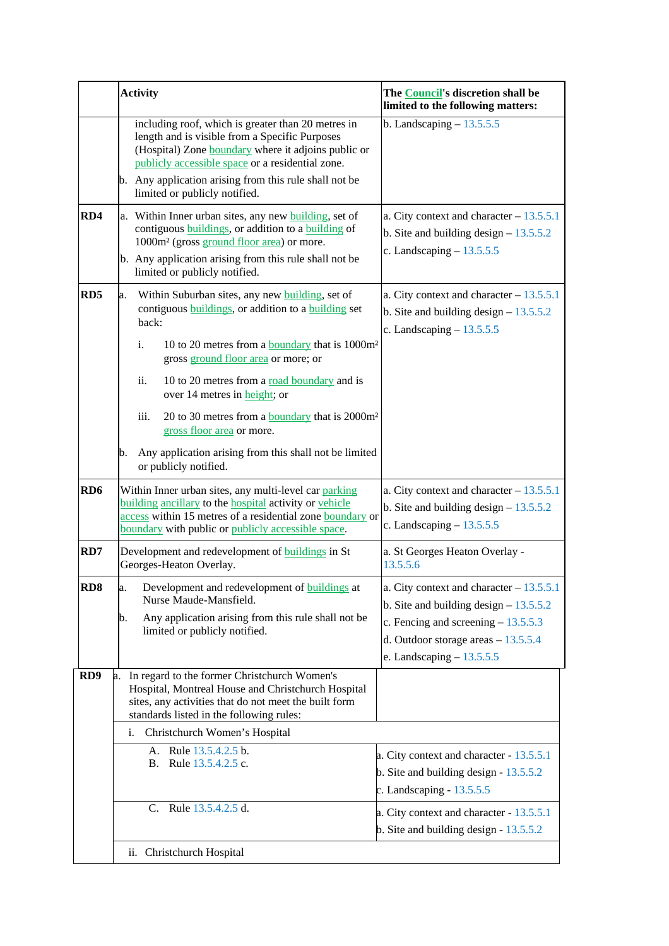|                 | <b>Activity</b>                                                                                                                                                                                                                                                 | The <b>Council's</b> discretion shall be<br>limited to the following matters:                                                                                                                      |
|-----------------|-----------------------------------------------------------------------------------------------------------------------------------------------------------------------------------------------------------------------------------------------------------------|----------------------------------------------------------------------------------------------------------------------------------------------------------------------------------------------------|
|                 | including roof, which is greater than 20 metres in<br>length and is visible from a Specific Purposes<br>(Hospital) Zone boundary where it adjoins public or<br>publicly accessible space or a residential zone.                                                 | b. Landscaping $-13.5.5.5$                                                                                                                                                                         |
|                 | b. Any application arising from this rule shall not be<br>limited or publicly notified.                                                                                                                                                                         |                                                                                                                                                                                                    |
| RD4             | a. Within Inner urban sites, any new building, set of<br>contiguous buildings, or addition to a building of<br>1000m <sup>2</sup> (gross ground floor area) or more.<br>b. Any application arising from this rule shall not be<br>limited or publicly notified. | a. City context and character $-13.5.5.1$<br>b. Site and building design $-13.5.5.2$<br>c. Landscaping $-13.5.5.5$                                                                                 |
| RD <sub>5</sub> | Within Suburban sites, any new <b>building</b> , set of<br>a.<br>contiguous <i>buildings</i> , or addition to a <i>building</i> set<br>back:<br>i.<br>10 to 20 metres from a boundary that is 1000m <sup>2</sup>                                                | a. City context and character $-13.5.5.1$<br>b. Site and building design $-13.5.5.2$<br>c. Landscaping $-13.5.5.5$                                                                                 |
|                 | gross ground floor area or more; or<br>ii.<br>10 to 20 metres from a road boundary and is<br>over 14 metres in height; or<br>iii.<br>20 to 30 metres from a <b>boundary</b> that is 2000m <sup>2</sup>                                                          |                                                                                                                                                                                                    |
|                 | gross floor area or more.<br>Any application arising from this shall not be limited<br>b.<br>or publicly notified.                                                                                                                                              |                                                                                                                                                                                                    |
| RD <sub>6</sub> | Within Inner urban sites, any multi-level car parking<br>building ancillary to the hospital activity or vehicle<br>access within 15 metres of a residential zone boundary or<br>boundary with public or publicly accessible space.                              | a. City context and character $-13.5.5.1$<br>b. Site and building design $-13.5.5.2$<br>c. Landscaping $-13.5.5.5$                                                                                 |
| RD7             | Development and redevelopment of <b>buildings</b> in St<br>Georges-Heaton Overlay.                                                                                                                                                                              | a. St Georges Heaton Overlay -<br>13.5.5.6                                                                                                                                                         |
| RD <sub>8</sub> | Development and redevelopment of <b>buildings</b> at<br>a.<br>Nurse Maude-Mansfield.<br>Any application arising from this rule shall not be<br>b.<br>limited or publicly notified.                                                                              | a. City context and character $-13.5.5.1$<br>b. Site and building design $-13.5.5.2$<br>c. Fencing and screening $-13.5.5.3$<br>d. Outdoor storage areas $-13.5.5.4$<br>e. Landscaping $-13.5.5.5$ |
| RD <sub>9</sub> | In regard to the former Christchurch Women's<br>a.<br>Hospital, Montreal House and Christchurch Hospital<br>sites, any activities that do not meet the built form<br>standards listed in the following rules:                                                   |                                                                                                                                                                                                    |
|                 | Christchurch Women's Hospital<br>i.<br>A. Rule 13.5.4.2.5 b.<br>Rule 13.5.4.2.5 c.<br>В.                                                                                                                                                                        | a. City context and character - 13.5.5.1<br>b. Site and building design $-13.5.5.2$<br>c. Landscaping $-13.5.5.5$                                                                                  |
|                 | C. Rule 13.5.4.2.5 d.                                                                                                                                                                                                                                           | a. City context and character - 13.5.5.1<br>b. Site and building design $-13.5.5.2$                                                                                                                |
|                 | ii. Christchurch Hospital                                                                                                                                                                                                                                       |                                                                                                                                                                                                    |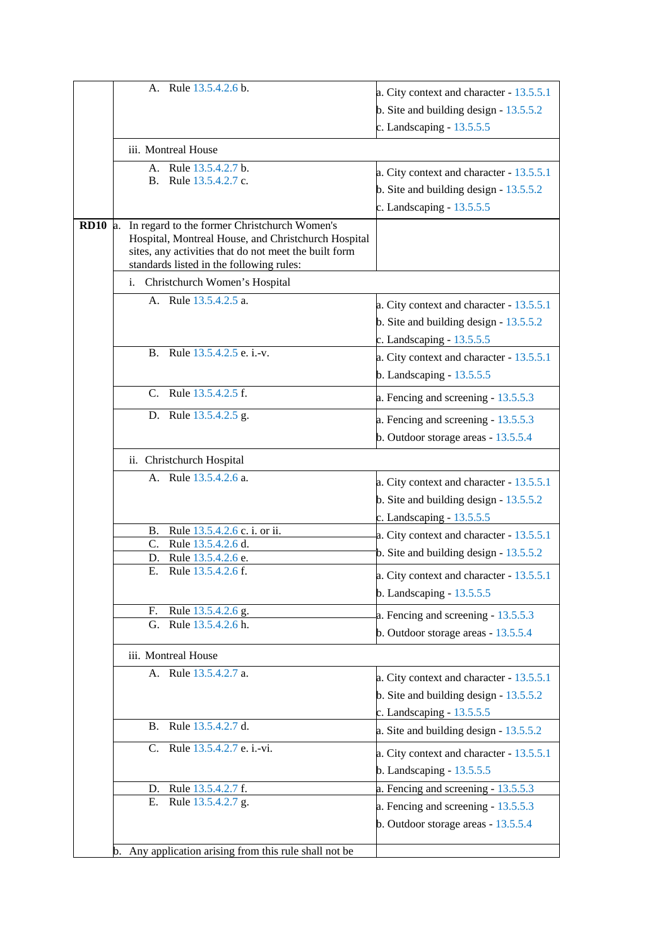| A. Rule 13.5.4.2.6 b.                                                                                        | a. City context and character - 13.5.5.1 |
|--------------------------------------------------------------------------------------------------------------|------------------------------------------|
|                                                                                                              |                                          |
|                                                                                                              | b. Site and building design $-13.5.5.2$  |
|                                                                                                              | c. Landscaping $-13.5.5.5$               |
| iii. Montreal House                                                                                          |                                          |
| Rule 13.5.4.2.7 b.<br>$A_{-}$                                                                                | a. City context and character - 13.5.5.1 |
| Rule 13.5.4.2.7 c.<br>B.                                                                                     | b. Site and building design $-13.5.5.2$  |
|                                                                                                              |                                          |
|                                                                                                              | c. Landscaping $-13.5.5.5$               |
| $RD10$ a.<br>In regard to the former Christchurch Women's                                                    |                                          |
| Hospital, Montreal House, and Christchurch Hospital<br>sites, any activities that do not meet the built form |                                          |
| standards listed in the following rules:                                                                     |                                          |
| i. Christchurch Women's Hospital                                                                             |                                          |
| A. Rule 13.5.4.2.5 a.                                                                                        |                                          |
|                                                                                                              | a. City context and character - 13.5.5.1 |
|                                                                                                              | b. Site and building design $-13.5.5.2$  |
|                                                                                                              | c. Landscaping $-13.5.5.5$               |
| B. Rule 13.5.4.2.5 e. i.-v.                                                                                  | a. City context and character - 13.5.5.1 |
|                                                                                                              | b. Landscaping $-13.5.5.5$               |
| C. Rule 13.5.4.2.5 f.                                                                                        |                                          |
|                                                                                                              | a. Fencing and screening - 13.5.5.3      |
| D. Rule 13.5.4.2.5 g.                                                                                        | a. Fencing and screening - 13.5.5.3      |
|                                                                                                              | b. Outdoor storage areas - 13.5.5.4      |
| ii. Christchurch Hospital                                                                                    |                                          |
| A. Rule 13.5.4.2.6 a.                                                                                        |                                          |
|                                                                                                              | a. City context and character - 13.5.5.1 |
|                                                                                                              | b. Site and building design $-13.5.5.2$  |
|                                                                                                              | c. Landscaping $-13.5.5.5$               |
| Rule 13.5.4.2.6 c. i. or ii.<br>В.                                                                           | a. City context and character - 13.5.5.1 |
| C.<br>Rule 13.5.4.2.6 d.                                                                                     | b. Site and building design $-13.5.5.2$  |
| Rule 13.5.4.2.6 e.<br>D.<br>Rule 13.5.4.2.6 f.<br>Е.                                                         |                                          |
|                                                                                                              | a. City context and character - 13.5.5.1 |
|                                                                                                              | b. Landscaping $-13.5.5.5$               |
| Rule 13.5.4.2.6 g.<br>F.                                                                                     | a. Fencing and screening - 13.5.5.3      |
| G. Rule 13.5.4.2.6 h.                                                                                        | b. Outdoor storage areas - 13.5.5.4      |
|                                                                                                              |                                          |
| iii. Montreal House                                                                                          |                                          |
| A. Rule 13.5.4.2.7 a.                                                                                        | a. City context and character - 13.5.5.1 |
|                                                                                                              | b. Site and building design $-13.5.5.2$  |
|                                                                                                              | c. Landscaping $-13.5.5.5$               |
| Rule 13.5.4.2.7 d.<br>В.                                                                                     |                                          |
|                                                                                                              | a. Site and building design - 13.5.5.2   |
| C. Rule 13.5.4.2.7 e. i.-vi.                                                                                 | a. City context and character - 13.5.5.1 |
|                                                                                                              | b. Landscaping $-13.5.5.5$               |
| Rule 13.5.4.2.7 f.<br>D.                                                                                     | a. Fencing and screening - 13.5.5.3      |
| Rule 13.5.4.2.7 g.<br>Е.                                                                                     | a. Fencing and screening - 13.5.5.3      |
|                                                                                                              | b. Outdoor storage areas - 13.5.5.4      |
|                                                                                                              |                                          |
| b. Any application arising from this rule shall not be                                                       |                                          |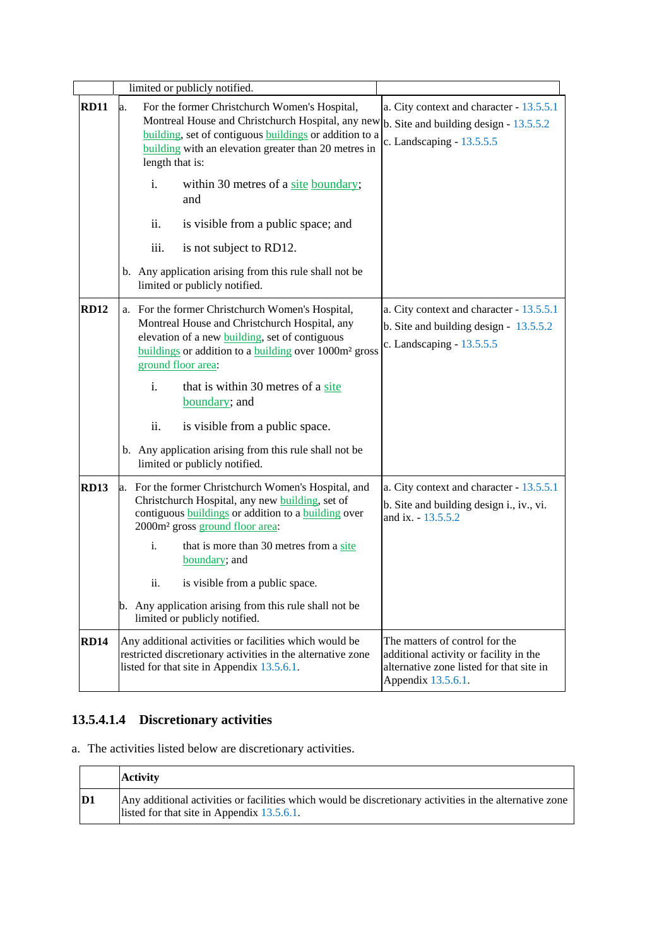|             | limited or publicly notified.                                                                                                                                                                                                                          |                                                                                                                                            |
|-------------|--------------------------------------------------------------------------------------------------------------------------------------------------------------------------------------------------------------------------------------------------------|--------------------------------------------------------------------------------------------------------------------------------------------|
| <b>RD11</b> | For the former Christchurch Women's Hospital,<br>a.<br>Montreal House and Christchurch Hospital, any new<br>building, set of contiguous buildings or addition to a<br>building with an elevation greater than 20 metres in<br>length that is:          | a. City context and character - 13.5.5.1<br>b. Site and building design $-13.5.5.2$<br>c. Landscaping - $13.5.5.5$                         |
|             | within 30 metres of a site boundary;<br>i.<br>and                                                                                                                                                                                                      |                                                                                                                                            |
|             | ii.<br>is visible from a public space; and                                                                                                                                                                                                             |                                                                                                                                            |
|             | is not subject to RD12.<br>111.                                                                                                                                                                                                                        |                                                                                                                                            |
|             | b. Any application arising from this rule shall not be<br>limited or publicly notified.                                                                                                                                                                |                                                                                                                                            |
| <b>RD12</b> | a. For the former Christchurch Women's Hospital,<br>Montreal House and Christchurch Hospital, any<br>elevation of a new <b>building</b> , set of contiguous<br>buildings or addition to a building over 1000m <sup>2</sup> gross<br>ground floor area: | a. City context and character - 13.5.5.1<br>b. Site and building design - $13.5.5.2$<br>c. Landscaping - 13.5.5.5                          |
|             | that is within 30 metres of a site<br>i.<br>boundary; and                                                                                                                                                                                              |                                                                                                                                            |
|             | ii.<br>is visible from a public space.                                                                                                                                                                                                                 |                                                                                                                                            |
|             | b. Any application arising from this rule shall not be<br>limited or publicly notified.                                                                                                                                                                |                                                                                                                                            |
| <b>RD13</b> | a. For the former Christchurch Women's Hospital, and<br>Christchurch Hospital, any new building, set of<br>contiguous <b>buildings</b> or addition to a <b>building</b> over<br>2000m <sup>2</sup> gross ground floor area:                            | a. City context and character - 13.5.5.1<br>b. Site and building design i., iv., vi.<br>and ix. - 13.5.5.2                                 |
|             | that is more than 30 metres from a site<br>i.<br>boundary; and                                                                                                                                                                                         |                                                                                                                                            |
|             | is visible from a public space.<br>ii.                                                                                                                                                                                                                 |                                                                                                                                            |
|             | b. Any application arising from this rule shall not be<br>limited or publicly notified.                                                                                                                                                                |                                                                                                                                            |
| <b>RD14</b> | Any additional activities or facilities which would be<br>restricted discretionary activities in the alternative zone<br>listed for that site in Appendix 13.5.6.1.                                                                                    | The matters of control for the<br>additional activity or facility in the<br>alternative zone listed for that site in<br>Appendix 13.5.6.1. |

## **13.5.4.1.4 Discretionary activities**

a. The activities listed below are discretionary activities.

|    | <b>Activity</b>                                                                                                                                       |
|----|-------------------------------------------------------------------------------------------------------------------------------------------------------|
| D1 | Any additional activities or facilities which would be discretionary activities in the alternative zone<br>listed for that site in Appendix 13.5.6.1. |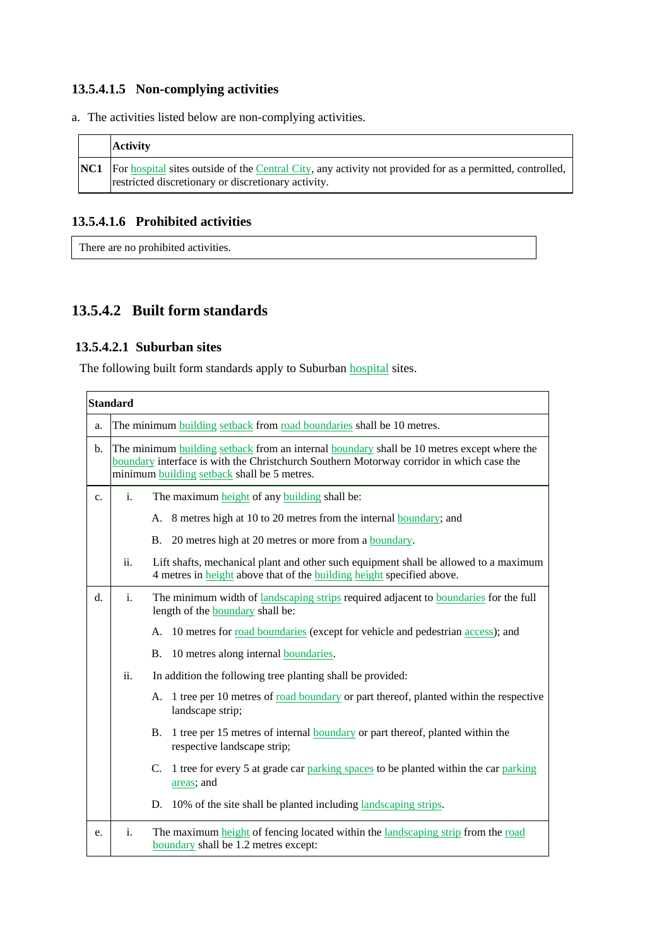### **13.5.4.1.5 Non-complying activities**

a. The activities listed below are non-complying activities.

| <b>Activity</b>                                                                                                                                                             |
|-----------------------------------------------------------------------------------------------------------------------------------------------------------------------------|
| <b>NC1</b> For hospital sites outside of the Central City, any activity not provided for as a permitted, controlled,<br>restricted discretionary or discretionary activity. |

#### **13.5.4.1.6 Prohibited activities**

There are no prohibited activities.

### **13.5.4.2 Built form standards**

#### **13.5.4.2.1 Suburban sites**

The following built form standards apply to Suburban hospital sites.

|    | <b>Standard</b> |                                                                                                                                                                                                                                                            |
|----|-----------------|------------------------------------------------------------------------------------------------------------------------------------------------------------------------------------------------------------------------------------------------------------|
| a. |                 | The minimum building setback from road boundaries shall be 10 metres.                                                                                                                                                                                      |
| b. |                 | The minimum <b>building</b> setback from an internal <b>boundary</b> shall be 10 metres except where the<br>boundary interface is with the Christchurch Southern Motorway corridor in which case the<br>minimum <b>building</b> setback shall be 5 metres. |
| c. | i.              | The maximum height of any building shall be:                                                                                                                                                                                                               |
|    |                 | A. 8 metres high at 10 to 20 metres from the internal boundary; and                                                                                                                                                                                        |
|    |                 | B. 20 metres high at 20 metres or more from a boundary.                                                                                                                                                                                                    |
|    | ii.             | Lift shafts, mechanical plant and other such equipment shall be allowed to a maximum<br>4 metres in height above that of the building height specified above.                                                                                              |
| d. | i.              | The minimum width of landscaping strips required adjacent to boundaries for the full<br>length of the <b>boundary</b> shall be:                                                                                                                            |
|    |                 | A. 10 metres for road boundaries (except for vehicle and pedestrian access); and                                                                                                                                                                           |
|    |                 | 10 metres along internal boundaries.<br><b>B.</b>                                                                                                                                                                                                          |
|    | ii.             | In addition the following tree planting shall be provided:                                                                                                                                                                                                 |
|    |                 | A. 1 tree per 10 metres of road boundary or part thereof, planted within the respective<br>landscape strip;                                                                                                                                                |
|    |                 | 1 tree per 15 metres of internal <b>boundary</b> or part thereof, planted within the<br>B.<br>respective landscape strip;                                                                                                                                  |
|    |                 | 1 tree for every 5 at grade car parking spaces to be planted within the car parking<br>C.<br>areas; and                                                                                                                                                    |
|    |                 | 10% of the site shall be planted including landscaping strips.<br>D.                                                                                                                                                                                       |
| e. | i.              | The maximum height of fencing located within the landscaping strip from the road<br>boundary shall be 1.2 metres except:                                                                                                                                   |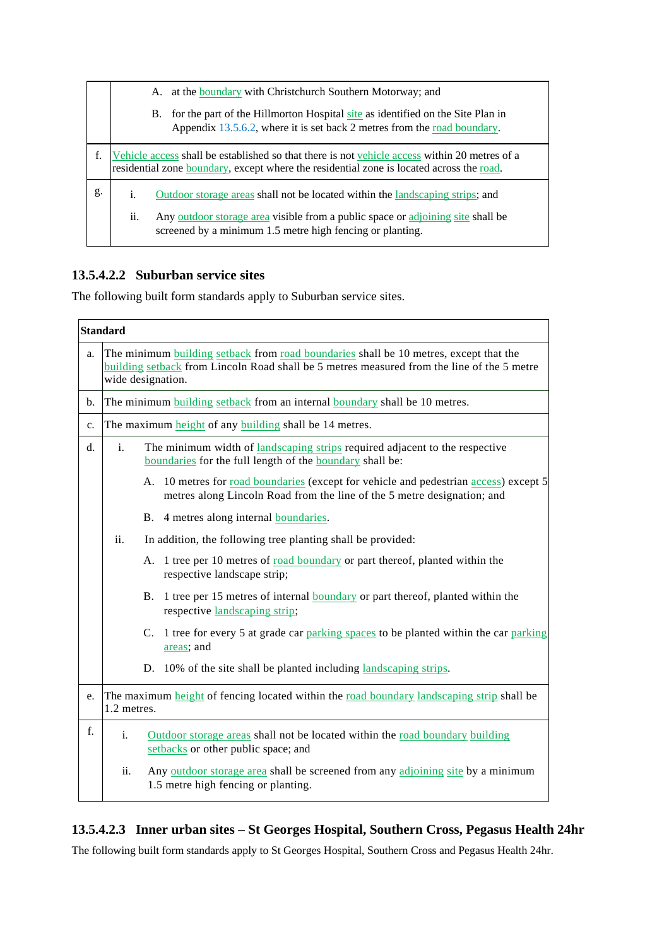|    | at the boundary with Christchurch Southern Motorway; and<br>A.                                                                                                                                    |                                                                                                                                                               |  |  |
|----|---------------------------------------------------------------------------------------------------------------------------------------------------------------------------------------------------|---------------------------------------------------------------------------------------------------------------------------------------------------------------|--|--|
|    |                                                                                                                                                                                                   | B. for the part of the Hillmorton Hospital site as identified on the Site Plan in<br>Appendix 13.5.6.2, where it is set back 2 metres from the road boundary. |  |  |
| f. | Vehicle access shall be established so that there is not vehicle access within 20 metres of a<br>residential zone <b>boundary</b> , except where the residential zone is located across the road. |                                                                                                                                                               |  |  |
| g. | i.<br>Outdoor storage areas shall not be located within the landscaping strips; and                                                                                                               |                                                                                                                                                               |  |  |
|    | ii.                                                                                                                                                                                               | Any <u>outdoor</u> storage area visible from a public space or adjoining site shall be<br>screened by a minimum 1.5 metre high fencing or planting.           |  |  |

#### **13.5.4.2.2 Suburban service sites**

The following built form standards apply to Suburban service sites.

|    | <b>Standard</b>                                                                                                                                                                                          |                                                                                                                                                                 |  |  |
|----|----------------------------------------------------------------------------------------------------------------------------------------------------------------------------------------------------------|-----------------------------------------------------------------------------------------------------------------------------------------------------------------|--|--|
| a. | The minimum building setback from road boundaries shall be 10 metres, except that the<br>building setback from Lincoln Road shall be 5 metres measured from the line of the 5 metre<br>wide designation. |                                                                                                                                                                 |  |  |
| b. |                                                                                                                                                                                                          | The minimum building setback from an internal boundary shall be 10 metres.                                                                                      |  |  |
| c. |                                                                                                                                                                                                          | The maximum height of any building shall be 14 metres.                                                                                                          |  |  |
| d. | The minimum width of landscaping strips required adjacent to the respective<br>$\mathbf{i}$ .<br>boundaries for the full length of the boundary shall be:                                                |                                                                                                                                                                 |  |  |
|    |                                                                                                                                                                                                          | A. 10 metres for road boundaries (except for vehicle and pedestrian access) except 5<br>metres along Lincoln Road from the line of the 5 metre designation; and |  |  |
|    |                                                                                                                                                                                                          | B. 4 metres along internal <b>boundaries</b> .                                                                                                                  |  |  |
|    | ii.<br>In addition, the following tree planting shall be provided:                                                                                                                                       |                                                                                                                                                                 |  |  |
|    |                                                                                                                                                                                                          | 1 tree per 10 metres of road boundary or part thereof, planted within the<br>А.<br>respective landscape strip;                                                  |  |  |
|    |                                                                                                                                                                                                          | B. 1 tree per 15 metres of internal boundary or part thereof, planted within the<br>respective landscaping strip;                                               |  |  |
|    |                                                                                                                                                                                                          | C. 1 tree for every 5 at grade car parking spaces to be planted within the car parking<br>areas; and                                                            |  |  |
|    |                                                                                                                                                                                                          | D. 10% of the site shall be planted including landscaping strips.                                                                                               |  |  |
| e. | 1.2 metres.                                                                                                                                                                                              | The maximum height of fencing located within the road boundary landscaping strip shall be                                                                       |  |  |
| f. | $\mathbf{i}$ .                                                                                                                                                                                           | Outdoor storage areas shall not be located within the road boundary building<br>setbacks or other public space; and                                             |  |  |
|    | ii.                                                                                                                                                                                                      | Any <u>outdoor</u> storage area shall be screened from any adjoining site by a minimum<br>1.5 metre high fencing or planting.                                   |  |  |

#### **13.5.4.2.3 Inner urban sites – St Georges Hospital, Southern Cross, Pegasus Health 24hr**

The following built form standards apply to St Georges Hospital, Southern Cross and Pegasus Health 24hr.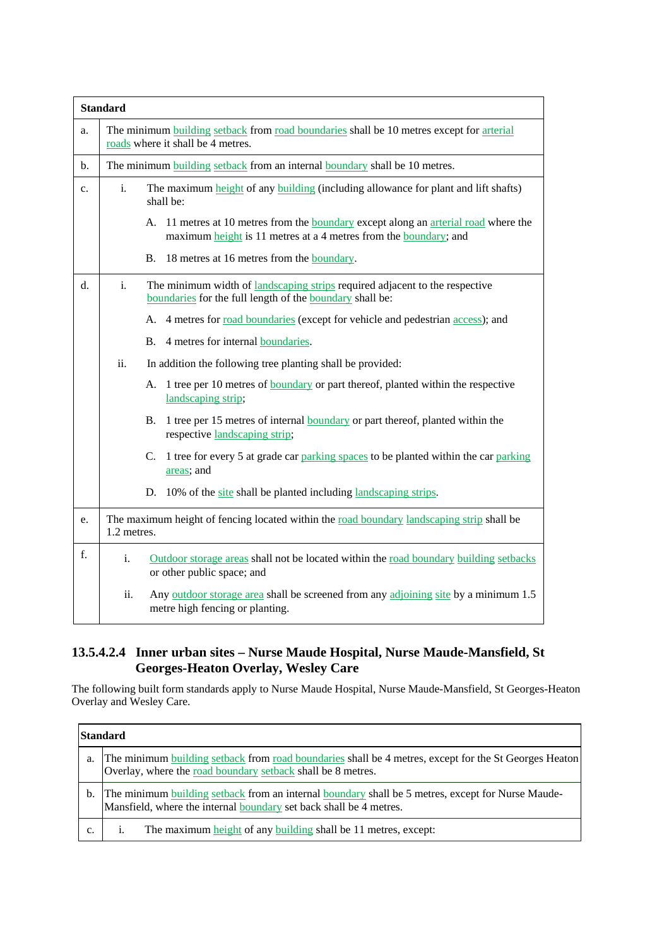|                | <b>Standard</b>                                                                                                                      |                                                                                                                                                                |  |  |
|----------------|--------------------------------------------------------------------------------------------------------------------------------------|----------------------------------------------------------------------------------------------------------------------------------------------------------------|--|--|
| a.             | The minimum <b>building</b> setback from road boundaries shall be 10 metres except for arterial<br>roads where it shall be 4 metres. |                                                                                                                                                                |  |  |
| $\mathbf{b}$ . | The minimum building setback from an internal boundary shall be 10 metres.                                                           |                                                                                                                                                                |  |  |
| c.             | i.                                                                                                                                   | The maximum height of any building (including allowance for plant and lift shafts)<br>shall be:                                                                |  |  |
|                |                                                                                                                                      | A. 11 metres at 10 metres from the <b>boundary</b> except along an arterial road where the<br>maximum height is 11 metres at a 4 metres from the boundary; and |  |  |
|                |                                                                                                                                      | Β.<br>18 metres at 16 metres from the boundary.                                                                                                                |  |  |
| d.             | i.                                                                                                                                   | The minimum width of landscaping strips required adjacent to the respective<br>boundaries for the full length of the boundary shall be:                        |  |  |
|                |                                                                                                                                      | A. 4 metres for <u>road boundaries</u> (except for vehicle and pedestrian access); and                                                                         |  |  |
|                |                                                                                                                                      | 4 metres for internal boundaries.<br><b>B.</b>                                                                                                                 |  |  |
|                | ii.                                                                                                                                  | In addition the following tree planting shall be provided:                                                                                                     |  |  |
|                |                                                                                                                                      | 1 tree per 10 metres of <b>boundary</b> or part thereof, planted within the respective<br>А.<br>landscaping strip;                                             |  |  |
|                |                                                                                                                                      | 1 tree per 15 metres of internal <b>boundary</b> or part thereof, planted within the<br>B.<br>respective landscaping strip;                                    |  |  |
|                |                                                                                                                                      | 1 tree for every 5 at grade car parking spaces to be planted within the car parking<br>C.<br>areas; and                                                        |  |  |
|                |                                                                                                                                      | 10% of the site shall be planted including landscaping strips.<br>D.                                                                                           |  |  |
| e.             | 1.2 metres.                                                                                                                          | The maximum height of fencing located within the road boundary landscaping strip shall be                                                                      |  |  |
| f.             | i.                                                                                                                                   | Outdoor storage areas shall not be located within the road boundary building setbacks<br>or other public space; and                                            |  |  |
|                | ii.                                                                                                                                  | Any outdoor storage area shall be screened from any adjoining site by a minimum 1.5<br>metre high fencing or planting.                                         |  |  |

#### **13.5.4.2.4 Inner urban sites – Nurse Maude Hospital, Nurse Maude-Mansfield, St Georges-Heaton Overlay, Wesley Care**

The following built form standards apply to Nurse Maude Hospital, Nurse Maude-Mansfield, St Georges-Heaton Overlay and Wesley Care.

| <b>Standard</b> |                                                                                                                                                                                |  |  |
|-----------------|--------------------------------------------------------------------------------------------------------------------------------------------------------------------------------|--|--|
| a.              | The minimum building setback from road boundaries shall be 4 metres, except for the St Georges Heaton<br>Overlay, where the road boundary setback shall be 8 metres.           |  |  |
| b.              | The minimum building setback from an internal boundary shall be 5 metres, except for Nurse Maude-<br>Mansfield, where the internal <b>boundary</b> set back shall be 4 metres. |  |  |
| c.              | The maximum height of any building shall be 11 metres, except:                                                                                                                 |  |  |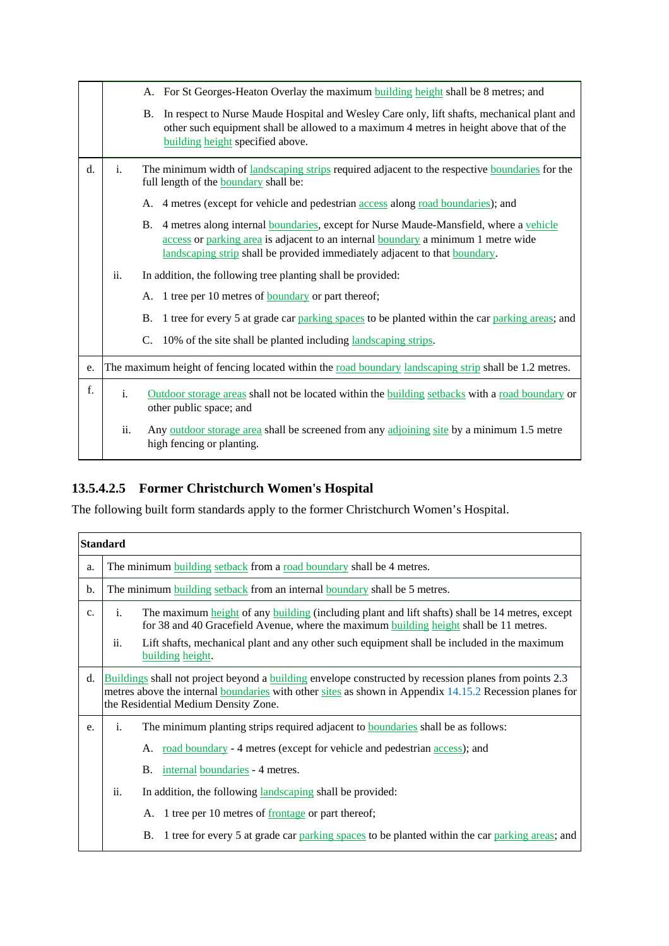|    |                                                                                                       | A. For St Georges-Heaton Overlay the maximum building height shall be 8 metres; and                                                                                                                                                                                   |  |  |  |
|----|-------------------------------------------------------------------------------------------------------|-----------------------------------------------------------------------------------------------------------------------------------------------------------------------------------------------------------------------------------------------------------------------|--|--|--|
|    |                                                                                                       | In respect to Nurse Maude Hospital and Wesley Care only, lift shafts, mechanical plant and<br><b>B.</b><br>other such equipment shall be allowed to a maximum 4 metres in height above that of the<br>building height specified above.                                |  |  |  |
| d. | i.                                                                                                    | The minimum width of landscaping strips required adjacent to the respective boundaries for the<br>full length of the <b>boundary</b> shall be:                                                                                                                        |  |  |  |
|    |                                                                                                       | 4 metres (except for vehicle and pedestrian access along road boundaries); and<br>А.                                                                                                                                                                                  |  |  |  |
|    |                                                                                                       | 4 metres along internal boundaries, except for Nurse Maude-Mansfield, where a vehicle<br><b>B.</b><br>access or parking area is adjacent to an internal boundary a minimum 1 metre wide<br>landscaping strip shall be provided immediately adjacent to that boundary. |  |  |  |
|    | ii.                                                                                                   | In addition, the following tree planting shall be provided:                                                                                                                                                                                                           |  |  |  |
|    |                                                                                                       | 1 tree per 10 metres of <b>boundary</b> or part thereof;<br>А.                                                                                                                                                                                                        |  |  |  |
|    |                                                                                                       | 1 tree for every 5 at grade car parking spaces to be planted within the car parking areas; and<br><b>B.</b>                                                                                                                                                           |  |  |  |
|    |                                                                                                       | $\mathcal{C}$ .<br>10% of the site shall be planted including landscaping strips.                                                                                                                                                                                     |  |  |  |
| e. | The maximum height of fencing located within the road boundary landscaping strip shall be 1.2 metres. |                                                                                                                                                                                                                                                                       |  |  |  |
| f. | $\mathbf{i}$ .                                                                                        | Outdoor storage areas shall not be located within the building setbacks with a road boundary or<br>other public space; and                                                                                                                                            |  |  |  |
|    | ii.                                                                                                   | Any <u>outdoor</u> storage area shall be screened from any adjoining site by a minimum 1.5 metre<br>high fencing or planting.                                                                                                                                         |  |  |  |

## **13.5.4.2.5 Former Christchurch Women's Hospital**

The following built form standards apply to the former Christchurch Women's Hospital.

| <b>Standard</b> |                                                                                                                                                                                                                                                                  |                                                                                                                                                                                           |  |  |
|-----------------|------------------------------------------------------------------------------------------------------------------------------------------------------------------------------------------------------------------------------------------------------------------|-------------------------------------------------------------------------------------------------------------------------------------------------------------------------------------------|--|--|
| a.              | The minimum building setback from a road boundary shall be 4 metres.                                                                                                                                                                                             |                                                                                                                                                                                           |  |  |
| b.              | The minimum building setback from an internal boundary shall be 5 metres.                                                                                                                                                                                        |                                                                                                                                                                                           |  |  |
| c.              | i.                                                                                                                                                                                                                                                               | The maximum height of any building (including plant and lift shafts) shall be 14 metres, except<br>for 38 and 40 Gracefield Avenue, where the maximum building height shall be 11 metres. |  |  |
|                 | Lift shafts, mechanical plant and any other such equipment shall be included in the maximum<br>ii.<br>building height.                                                                                                                                           |                                                                                                                                                                                           |  |  |
| d.              | Buildings shall not project beyond a building envelope constructed by recession planes from points 2.3<br>metres above the internal <b>boundaries</b> with other sites as shown in Appendix 14.15.2 Recession planes for<br>the Residential Medium Density Zone. |                                                                                                                                                                                           |  |  |
| e.              | The minimum planting strips required adjacent to <b>boundaries</b> shall be as follows:<br>i.                                                                                                                                                                    |                                                                                                                                                                                           |  |  |
|                 |                                                                                                                                                                                                                                                                  | road boundary - 4 metres (except for vehicle and pedestrian <u>access</u> ); and<br>А.                                                                                                    |  |  |
|                 |                                                                                                                                                                                                                                                                  | internal boundaries - 4 metres.<br><b>B.</b>                                                                                                                                              |  |  |
|                 | ii.                                                                                                                                                                                                                                                              | In addition, the following landscaping shall be provided:                                                                                                                                 |  |  |
|                 |                                                                                                                                                                                                                                                                  | A. 1 tree per 10 metres of <u>frontage</u> or part thereof;                                                                                                                               |  |  |
|                 |                                                                                                                                                                                                                                                                  | 1 tree for every 5 at grade car parking spaces to be planted within the car parking areas; and<br>В.                                                                                      |  |  |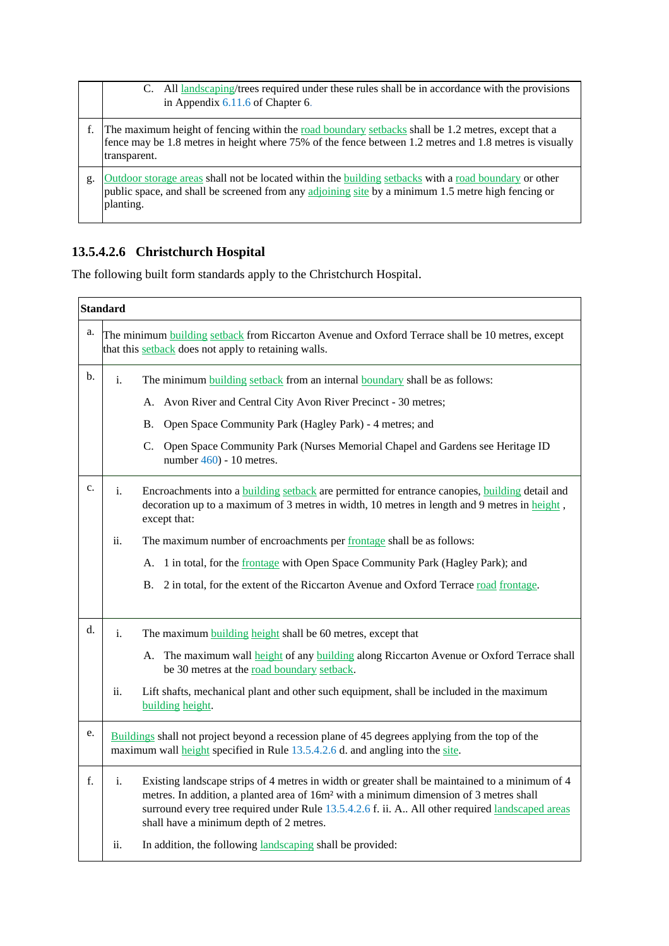|    | All landscaping/trees required under these rules shall be in accordance with the provisions<br>C.<br>in Appendix $6.11.6$ of Chapter 6.                                                                                             |
|----|-------------------------------------------------------------------------------------------------------------------------------------------------------------------------------------------------------------------------------------|
|    | The maximum height of fencing within the <u>road boundary setbacks</u> shall be 1.2 metres, except that a<br>fence may be 1.8 metres in height where 75% of the fence between 1.2 metres and 1.8 metres is visually<br>transparent. |
| g. | Outdoor storage areas shall not be located within the building setbacks with a road boundary or other<br>public space, and shall be screened from any adjoining site by a minimum 1.5 metre high fencing or<br>planting.            |

### **13.5.4.2.6 Christchurch Hospital**

The following built form standards apply to the Christchurch Hospital.

| <b>Standard</b> |                                                                                                                                                                                                                                                                                                                                                           |  |
|-----------------|-----------------------------------------------------------------------------------------------------------------------------------------------------------------------------------------------------------------------------------------------------------------------------------------------------------------------------------------------------------|--|
| a.              | The minimum building setback from Riccarton Avenue and Oxford Terrace shall be 10 metres, except<br>that this setback does not apply to retaining walls.                                                                                                                                                                                                  |  |
| b.              | $\mathbf{i}$ .<br>The minimum building setback from an internal boundary shall be as follows:                                                                                                                                                                                                                                                             |  |
|                 | Avon River and Central City Avon River Precinct - 30 metres;<br>А.                                                                                                                                                                                                                                                                                        |  |
|                 | Open Space Community Park (Hagley Park) - 4 metres; and<br>В.                                                                                                                                                                                                                                                                                             |  |
|                 | C. Open Space Community Park (Nurses Memorial Chapel and Gardens see Heritage ID<br>number $460$ ) - 10 metres.                                                                                                                                                                                                                                           |  |
| c.              | Encroachments into a building setback are permitted for entrance canopies, building detail and<br>i.<br>decoration up to a maximum of 3 metres in width, 10 metres in length and 9 metres in $\frac{height}{},$<br>except that:                                                                                                                           |  |
|                 | ii.<br>The maximum number of encroachments per frontage shall be as follows:                                                                                                                                                                                                                                                                              |  |
|                 | 1 in total, for the frontage with Open Space Community Park (Hagley Park); and<br>А.                                                                                                                                                                                                                                                                      |  |
|                 | 2 in total, for the extent of the Riccarton Avenue and Oxford Terrace road frontage.<br><b>B.</b>                                                                                                                                                                                                                                                         |  |
| d.              | i.<br>The maximum building height shall be 60 metres, except that                                                                                                                                                                                                                                                                                         |  |
|                 | A. The maximum wall height of any building along Riccarton Avenue or Oxford Terrace shall<br>be 30 metres at the road boundary setback.                                                                                                                                                                                                                   |  |
|                 | ii.<br>Lift shafts, mechanical plant and other such equipment, shall be included in the maximum<br>building height.                                                                                                                                                                                                                                       |  |
| e.              | Buildings shall not project beyond a recession plane of 45 degrees applying from the top of the<br>maximum wall height specified in Rule 13.5.4.2.6 d. and angling into the site.                                                                                                                                                                         |  |
| f.              | Existing landscape strips of 4 metres in width or greater shall be maintained to a minimum of 4<br>i.<br>metres. In addition, a planted area of 16m <sup>2</sup> with a minimum dimension of 3 metres shall<br>surround every tree required under Rule 13.5.4.2.6 f. ii. A All other required landscaped areas<br>shall have a minimum depth of 2 metres. |  |
|                 | ii.<br>In addition, the following landscaping shall be provided:                                                                                                                                                                                                                                                                                          |  |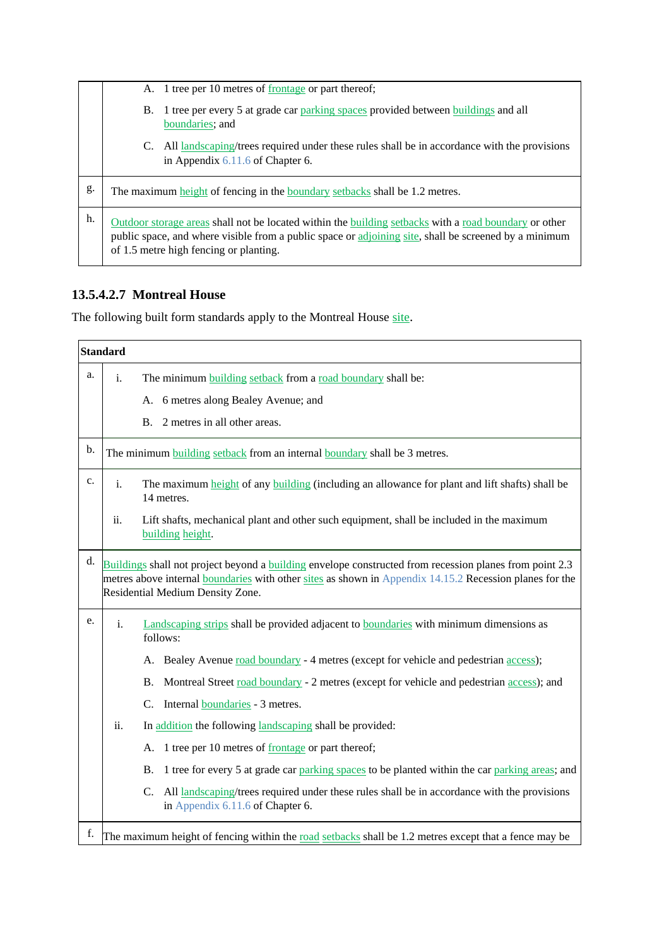|    | A. 1 tree per 10 metres of <u>frontage</u> or part thereof;                                                                                                                                                                                              |  |  |  |  |
|----|----------------------------------------------------------------------------------------------------------------------------------------------------------------------------------------------------------------------------------------------------------|--|--|--|--|
|    | 1 tree per every 5 at grade car parking spaces provided between buildings and all<br>В.<br>boundaries; and                                                                                                                                               |  |  |  |  |
|    | All landscaping/trees required under these rules shall be in accordance with the provisions<br>C.<br>in Appendix $6.11.6$ of Chapter 6.                                                                                                                  |  |  |  |  |
| g. | The maximum height of fencing in the <b>boundary</b> setbacks shall be 1.2 metres.                                                                                                                                                                       |  |  |  |  |
| h. | Outdoor storage areas shall not be located within the building setbacks with a road boundary or other<br>public space, and where visible from a public space or adjoining site, shall be screened by a minimum<br>of 1.5 metre high fencing or planting. |  |  |  |  |

### **13.5.4.2.7 Montreal House**

The following built form standards apply to the Montreal House site.

| <b>Standard</b> |                                                                                                                                                                                                                                                        |                                                                                                                                                   |  |  |
|-----------------|--------------------------------------------------------------------------------------------------------------------------------------------------------------------------------------------------------------------------------------------------------|---------------------------------------------------------------------------------------------------------------------------------------------------|--|--|
| a.              | $\mathbf{i}$ .                                                                                                                                                                                                                                         | The minimum building setback from a road boundary shall be:                                                                                       |  |  |
|                 |                                                                                                                                                                                                                                                        | A. 6 metres along Bealey Avenue; and                                                                                                              |  |  |
|                 |                                                                                                                                                                                                                                                        | 2 metres in all other areas.<br><b>B.</b>                                                                                                         |  |  |
| b.              |                                                                                                                                                                                                                                                        | The minimum building setback from an internal boundary shall be 3 metres.                                                                         |  |  |
| c.              | i.                                                                                                                                                                                                                                                     | The maximum height of any building (including an allowance for plant and lift shafts) shall be<br>14 metres.                                      |  |  |
|                 | ii.                                                                                                                                                                                                                                                    | Lift shafts, mechanical plant and other such equipment, shall be included in the maximum<br>building height.                                      |  |  |
| d.              | Buildings shall not project beyond a building envelope constructed from recession planes from point 2.3<br>metres above internal boundaries with other sites as shown in Appendix 14.15.2 Recession planes for the<br>Residential Medium Density Zone. |                                                                                                                                                   |  |  |
| e.              | $\mathbf{i}$ .<br>Landscaping strips shall be provided adjacent to boundaries with minimum dimensions as<br>follows:                                                                                                                                   |                                                                                                                                                   |  |  |
|                 | A. Bealey Avenue road boundary - 4 metres (except for vehicle and pedestrian access);                                                                                                                                                                  |                                                                                                                                                   |  |  |
|                 |                                                                                                                                                                                                                                                        | Montreal Street road boundary - 2 metres (except for vehicle and pedestrian access); and<br>Β.                                                    |  |  |
|                 |                                                                                                                                                                                                                                                        | Internal <b>boundaries</b> - 3 metres.<br>C.                                                                                                      |  |  |
|                 | ii.                                                                                                                                                                                                                                                    | In addition the following landscaping shall be provided:                                                                                          |  |  |
|                 |                                                                                                                                                                                                                                                        | A. 1 tree per 10 metres of frontage or part thereof;                                                                                              |  |  |
|                 |                                                                                                                                                                                                                                                        | 1 tree for every 5 at grade car parking spaces to be planted within the car parking areas; and<br><b>B.</b>                                       |  |  |
|                 |                                                                                                                                                                                                                                                        | $\mathbf{C}$ .<br>All landscaping/trees required under these rules shall be in accordance with the provisions<br>in Appendix 6.11.6 of Chapter 6. |  |  |
| f.              |                                                                                                                                                                                                                                                        | The maximum height of fencing within the road setbacks shall be 1.2 metres except that a fence may be                                             |  |  |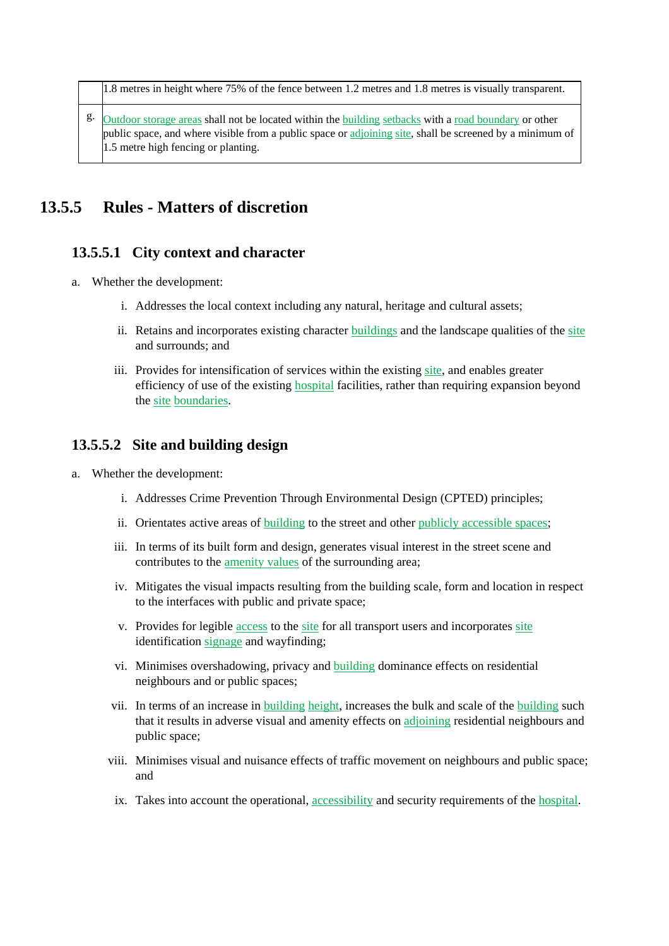1.8 metres in height where 75% of the fence between 1.2 metres and 1.8 metres is visually transparent.

 $\mathcal{E}$ . Outdoor storage areas shall not be located within the building setbacks with a road boundary or other public space, and where visible from a public space or adjoining site, shall be screened by a minimum of 1.5 metre high fencing or planting.

## **13.5.5 Rules - Matters of discretion**

#### **13.5.5.1 City context and character**

- a. Whether the development:
	- i. Addresses the local context including any natural, heritage and cultural assets;
	- ii. Retains and incorporates existing character buildings and the landscape qualities of the site and surrounds; and
	- iii. Provides for intensification of services within the existing site, and enables greater efficiency of use of the existing hospital facilities, rather than requiring expansion beyond the site boundaries.

#### **13.5.5.2 Site and building design**

- a. Whether the development:
	- i. Addresses Crime Prevention Through Environmental Design (CPTED) principles;
	- ii. Orientates active areas of building to the street and other publicly accessible spaces;
	- iii. In terms of its built form and design, generates visual interest in the street scene and contributes to the amenity values of the surrounding area;
	- iv. Mitigates the visual impacts resulting from the building scale, form and location in respect to the interfaces with public and private space;
	- v. Provides for legible access to the site for all transport users and incorporates site identification signage and wayfinding;
	- vi. Minimises overshadowing, privacy and building dominance effects on residential neighbours and or public spaces;
	- vii. In terms of an increase in building height, increases the bulk and scale of the building such that it results in adverse visual and amenity effects on adjoining residential neighbours and public space;
	- viii. Minimises visual and nuisance effects of traffic movement on neighbours and public space; and
	- ix. Takes into account the operational, accessibility and security requirements of the hospital.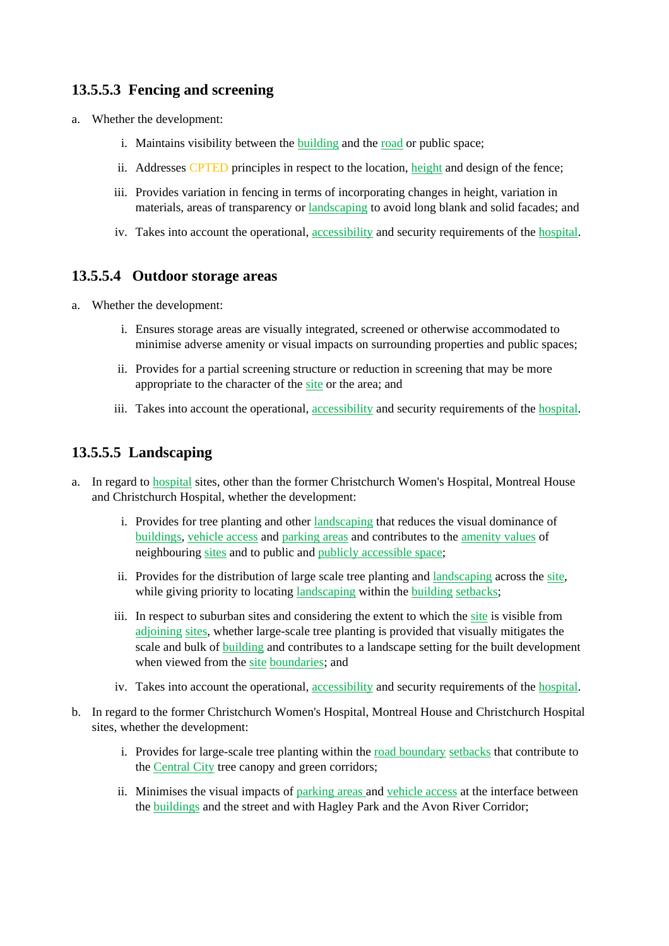### **13.5.5.3 Fencing and screening**

- a. Whether the development:
	- i. Maintains visibility between the building and the road or public space;
	- ii. Addresses CPTED principles in respect to the location, height and design of the fence;
	- iii. Provides variation in fencing in terms of incorporating changes in height, variation in materials, areas of transparency or landscaping to avoid long blank and solid facades; and
	- iv. Takes into account the operational, accessibility and security requirements of the hospital.

### **13.5.5.4 Outdoor storage areas**

- a. Whether the development:
	- i. Ensures storage areas are visually integrated, screened or otherwise accommodated to minimise adverse amenity or visual impacts on surrounding properties and public spaces;
	- ii. Provides for a partial screening structure or reduction in screening that may be more appropriate to the character of the site or the area; and
	- iii. Takes into account the operational, accessibility and security requirements of the hospital.

### **13.5.5.5 Landscaping**

- a. In regard to hospital sites, other than the former Christchurch Women's Hospital, Montreal House and Christchurch Hospital, whether the development:
	- i. Provides for tree planting and other landscaping that reduces the visual dominance of buildings, vehicle access and parking areas and contributes to the amenity values of neighbouring sites and to public and publicly accessible space;
	- ii. Provides for the distribution of large scale tree planting and landscaping across the site, while giving priority to locating landscaping within the building setbacks;
	- iii. In respect to suburban sites and considering the extent to which the site is visible from adjoining sites, whether large-scale tree planting is provided that visually mitigates the scale and bulk of building and contributes to a landscape setting for the built development when viewed from the site boundaries; and
	- iv. Takes into account the operational, accessibility and security requirements of the hospital.
- b. In regard to the former Christchurch Women's Hospital, Montreal House and Christchurch Hospital sites, whether the development:
	- i. Provides for large-scale tree planting within the road boundary setbacks that contribute to the Central City tree canopy and green corridors;
	- ii. Minimises the visual impacts of parking areas and vehicle access at the interface between the buildings and the street and with Hagley Park and the Avon River Corridor;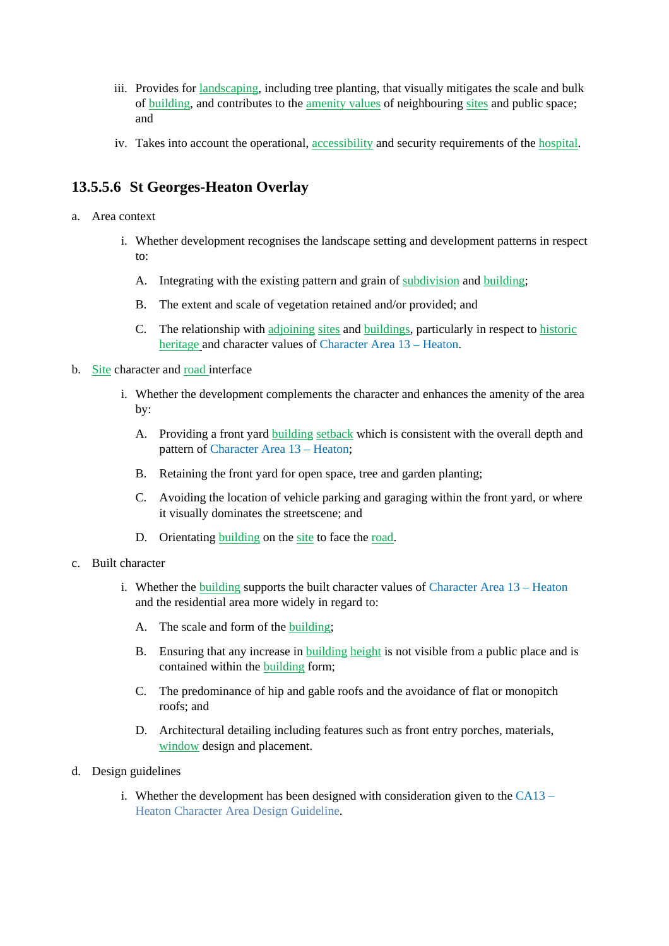- iii. Provides for landscaping, including tree planting, that visually mitigates the scale and bulk of building, and contributes to the amenity values of neighbouring sites and public space; and
- iv. Takes into account the operational, accessibility and security requirements of the hospital.

### **13.5.5.6 St Georges-Heaton Overlay**

- a. Area context
	- i. Whether development recognises the landscape setting and development patterns in respect to:
		- A. Integrating with the existing pattern and grain of subdivision and building;
		- B. The extent and scale of vegetation retained and/or provided; and
		- C. The relationship with adjoining sites and buildings, particularly in respect to historic heritage and character values of Character Area 13 – Heaton.
- b. Site character and road interface
	- i. Whether the development complements the character and enhances the amenity of the area by:
		- A. Providing a front yard building setback which is consistent with the overall depth and pattern of Character Area 13 – Heaton;
		- B. Retaining the front yard for open space, tree and garden planting;
		- C. Avoiding the location of vehicle parking and garaging within the front yard, or where it visually dominates the streetscene; and
		- D. Orientating building on the site to face the road.
- c. Built character
	- i. Whether the building supports the built character values of Character Area 13 Heaton and the residential area more widely in regard to:
		- A. The scale and form of the building;
		- B. Ensuring that any increase in building height is not visible from a public place and is contained within the building form;
		- C. The predominance of hip and gable roofs and the avoidance of flat or monopitch roofs; and
		- D. Architectural detailing including features such as front entry porches, materials, window design and placement.
- d. Design guidelines
	- i. Whether the development has been designed with consideration given to the  $CA13 -$ Heaton Character Area Design Guideline.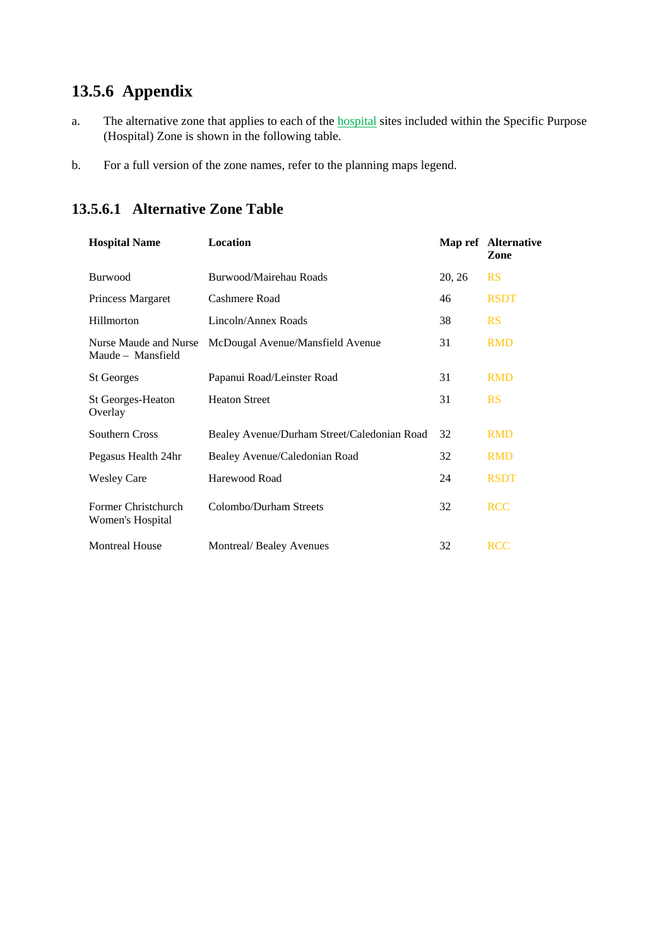## **13.5.6 Appendix**

- a. The alternative zone that applies to each of the **hospital** sites included within the Specific Purpose (Hospital) Zone is shown in the following table.
- b. For a full version of the zone names, refer to the planning maps legend.

| <b>Hospital Name</b>                       | <b>Location</b>                             |        | Map ref Alternative<br>Zone |
|--------------------------------------------|---------------------------------------------|--------|-----------------------------|
| <b>Burwood</b>                             | Burwood/Mairehau Roads                      | 20, 26 | <b>RS</b>                   |
| Princess Margaret                          | Cashmere Road                               | 46     | <b>RSDT</b>                 |
| Hillmorton                                 | Lincoln/Annex Roads                         | 38     | <b>RS</b>                   |
| Nurse Maude and Nurse<br>Maude – Mansfield | McDougal Avenue/Mansfield Avenue            | 31     | <b>RMD</b>                  |
| <b>St Georges</b>                          | Papanui Road/Leinster Road                  | 31     | <b>RMD</b>                  |
| St Georges-Heaton<br>Overlay               | <b>Heaton Street</b>                        | 31     | <b>RS</b>                   |
| Southern Cross                             | Bealey Avenue/Durham Street/Caledonian Road | 32     | <b>RMD</b>                  |
| Pegasus Health 24hr                        | Bealey Avenue/Caledonian Road               | 32     | <b>RMD</b>                  |
| <b>Wesley Care</b>                         | Harewood Road                               | 24     | <b>RSDT</b>                 |
| Former Christchurch<br>Women's Hospital    | Colombo/Durham Streets                      | 32     | <b>RCC</b>                  |
| <b>Montreal House</b>                      | Montreal/Bealey Avenues                     | 32     | <b>RCC</b>                  |

## **13.5.6.1 Alternative Zone Table**